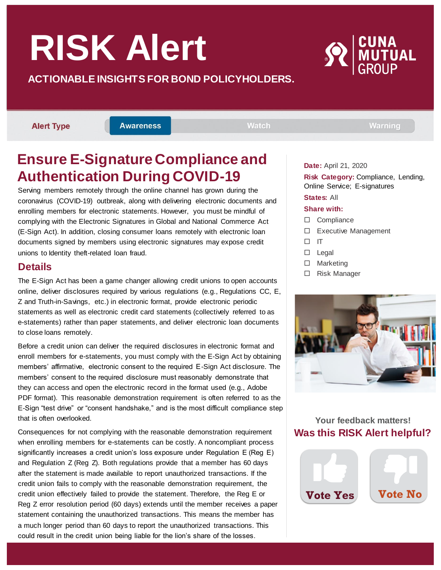# **RISK Alert**

#### **ACTIONABLE INSIGHTS FOR BOND POLICYHOLDERS.**

**Alert Type** 

**Awareness** 

**Watch** 

**Warning** 

# **Ensure E-Signature Compliance and Authentication During COVID-19**

Serving members remotely through the online channel has grown during the coronavirus (COVID-19) outbreak, along with delivering electronic documents and enrolling members for electronic statements. However, you must be mindful of complying with the Electronic Signatures in Global and National Commerce Act (E-Sign Act). In addition, closing consumer loans remotely with electronic loan documents signed by members using electronic signatures may expose credit unions to Identity theft-related loan fraud.

### **Details**

The E-Sign Act has been a game changer allowing credit unions to open accounts online, deliver disclosures required by various regulations (e.g., Regulations CC, E, Z and Truth-in-Savings, etc.) in electronic format, provide electronic periodic statements as well as electronic credit card statements (collectively referred to as e-statements) rather than paper statements, and deliver electronic loan documents to close loans remotely.

Before a credit union can deliver the required disclosures in electronic format and enroll members for e-statements, you must comply with the E-Sign Act by obtaining members' affirmative, electronic consent to the required E-Sign Act disclosure. The members' consent to the required disclosure must reasonably demonstrate that they can access and open the electronic record in the format used (e.g., Adobe PDF format). This reasonable demonstration requirement is often referred to as the E-Sign "test drive" or "consent handshake," and is the most difficult compliance step that is often overlooked.

Consequences for not complying with the reasonable demonstration requirement when enrolling members for e-statements can be costly. A noncompliant process significantly increases a credit union's loss exposure under Regulation E (Reg E) and Regulation Z (Reg Z). Both regulations provide that a member has 60 days after the statement is made available to report unauthorized transactions. If the credit union fails to comply with the reasonable demonstration requirement, the credit union effectively failed to provide the statement. Therefore, the Reg E or Reg Z error resolution period (60 days) extends until the member receives a paper statement containing the unauthorized transactions. This means the member has a much longer period than 60 days to report the unauthorized transactions. This could result in the credit union being liable for the lion's share of the losses.

**Date:** April 21, 2020

**Risk Category:** Compliance, Lending, Online Service; E-signatures

#### **States:** All **Share with:**

- □ Compliance
- □ Executive Management
- $\Box$  IT
- $\Box$  Legal
- □ Marketing
- □ Risk Manager



#### **Your feedback matters! Was this RISK Alert helpful?**